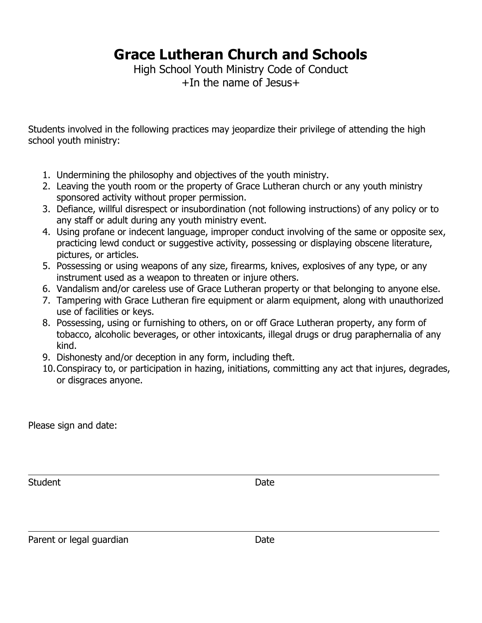## **Grace Lutheran Church and Schools**

High School Youth Ministry Code of Conduct +In the name of Jesus+

Students involved in the following practices may jeopardize their privilege of attending the high school youth ministry:

- 1. Undermining the philosophy and objectives of the youth ministry.
- 2. Leaving the youth room or the property of Grace Lutheran church or any youth ministry sponsored activity without proper permission.
- 3. Defiance, willful disrespect or insubordination (not following instructions) of any policy or to any staff or adult during any youth ministry event.
- 4. Using profane or indecent language, improper conduct involving of the same or opposite sex, practicing lewd conduct or suggestive activity, possessing or displaying obscene literature, pictures, or articles.
- 5. Possessing or using weapons of any size, firearms, knives, explosives of any type, or any instrument used as a weapon to threaten or injure others.
- 6. Vandalism and/or careless use of Grace Lutheran property or that belonging to anyone else.
- 7. Tampering with Grace Lutheran fire equipment or alarm equipment, along with unauthorized use of facilities or keys.
- 8. Possessing, using or furnishing to others, on or off Grace Lutheran property, any form of tobacco, alcoholic beverages, or other intoxicants, illegal drugs or drug paraphernalia of any kind.
- 9. Dishonesty and/or deception in any form, including theft.
- 10.Conspiracy to, or participation in hazing, initiations, committing any act that injures, degrades, or disgraces anyone.

Please sign and date:

Student Date Date

Parent or legal guardian Date